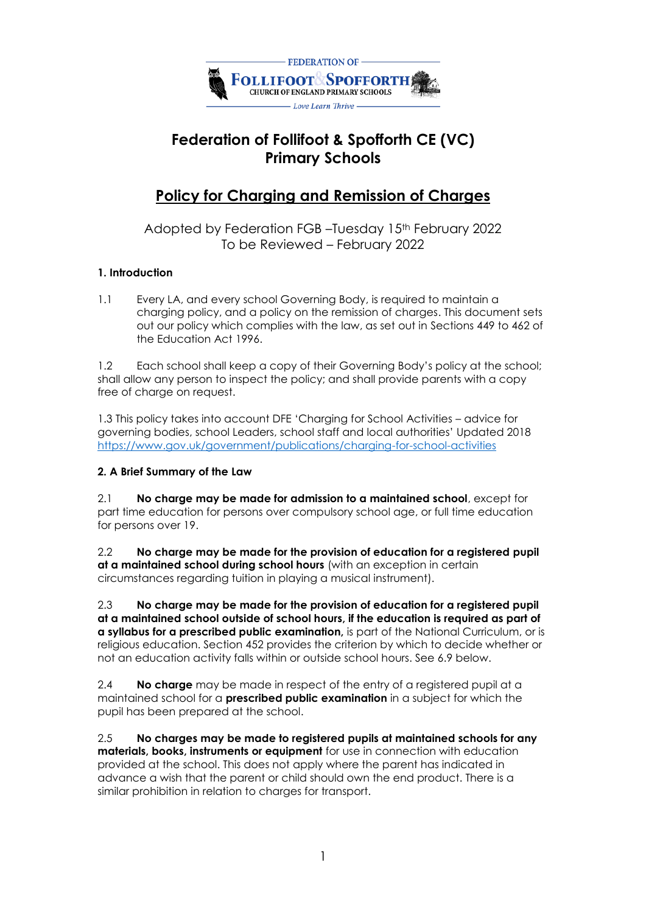

# **Federation of Follifoot & Spofforth CE (VC) Primary Schools**

## **Policy for Charging and Remission of Charges**

Adopted by Federation FGB –Tuesday 15th February 2022 To be Reviewed – February 2022

## **1. Introduction**

1.1 Every LA, and every school Governing Body, is required to maintain a charging policy, and a policy on the remission of charges. This document sets out our policy which complies with the law, as set out in Sections 449 to 462 of the Education Act 1996.

1.2 Each school shall keep a copy of their Governing Body's policy at the school; shall allow any person to inspect the policy; and shall provide parents with a copy free of charge on request.

1.3 This policy takes into account DFE 'Charging for School Activities – advice for governing bodies, school Leaders, school staff and local authorities' Updated 2018 <https://www.gov.uk/government/publications/charging-for-school-activities>

#### **2. A Brief Summary of the Law**

2.1 **No charge may be made for admission to a maintained school**, except for part time education for persons over compulsory school age, or full time education for persons over 19.

2.2 **No charge may be made for the provision of education for a registered pupil at a maintained school during school hours** (with an exception in certain circumstances regarding tuition in playing a musical instrument).

2.3 **No charge may be made for the provision of education for a registered pupil at a maintained school outside of school hours, if the education is required as part of a syllabus for a prescribed public examination,** is part of the National Curriculum, or is religious education. Section 452 provides the criterion by which to decide whether or not an education activity falls within or outside school hours. See 6.9 below.

2.4 **No charge** may be made in respect of the entry of a registered pupil at a maintained school for a **prescribed public examination** in a subject for which the pupil has been prepared at the school.

2.5 **No charges may be made to registered pupils at maintained schools for any materials, books, instruments or equipment** for use in connection with education provided at the school. This does not apply where the parent has indicated in advance a wish that the parent or child should own the end product. There is a similar prohibition in relation to charges for transport.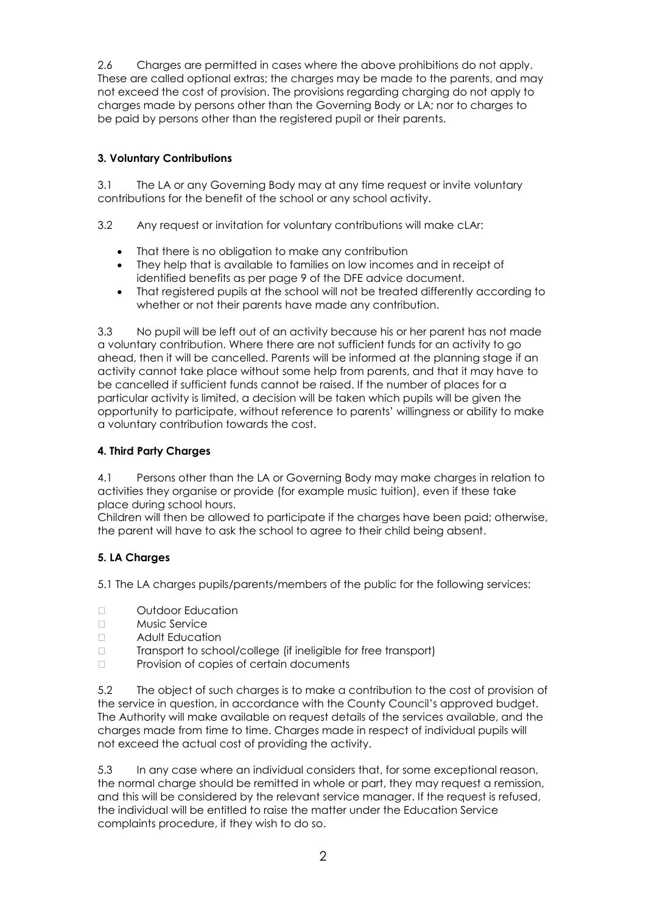2.6 Charges are permitted in cases where the above prohibitions do not apply. These are called optional extras; the charges may be made to the parents, and may not exceed the cost of provision. The provisions regarding charging do not apply to charges made by persons other than the Governing Body or LA; nor to charges to be paid by persons other than the registered pupil or their parents.

## **3. Voluntary Contributions**

3.1 The LA or any Governing Body may at any time request or invite voluntary contributions for the benefit of the school or any school activity.

3.2 Any request or invitation for voluntary contributions will make cLAr:

- That there is no obligation to make any contribution
- They help that is available to families on low incomes and in receipt of identified benefits as per page 9 of the DFE advice document.
- That registered pupils at the school will not be treated differently according to whether or not their parents have made any contribution.

3.3 No pupil will be left out of an activity because his or her parent has not made a voluntary contribution. Where there are not sufficient funds for an activity to go ahead, then it will be cancelled. Parents will be informed at the planning stage if an activity cannot take place without some help from parents, and that it may have to be cancelled if sufficient funds cannot be raised. If the number of places for a particular activity is limited, a decision will be taken which pupils will be given the opportunity to participate, without reference to parents' willingness or ability to make a voluntary contribution towards the cost.

### **4. Third Party Charges**

4.1 Persons other than the LA or Governing Body may make charges in relation to activities they organise or provide (for example music tuition), even if these take place during school hours.

Children will then be allowed to participate if the charges have been paid; otherwise, the parent will have to ask the school to agree to their child being absent.

## **5. LA Charges**

5.1 The LA charges pupils/parents/members of the public for the following services:

- n Outdoor Education
- Music Service
- Adult Education
- Transport to school/college (if ineligible for free transport)
- $\Box$  Provision of copies of certain documents

5.2 The object of such charges is to make a contribution to the cost of provision of the service in question, in accordance with the County Council's approved budget. The Authority will make available on request details of the services available, and the charges made from time to time. Charges made in respect of individual pupils will not exceed the actual cost of providing the activity.

5.3 In any case where an individual considers that, for some exceptional reason, the normal charge should be remitted in whole or part, they may request a remission, and this will be considered by the relevant service manager. If the request is refused, the individual will be entitled to raise the matter under the Education Service complaints procedure, if they wish to do so.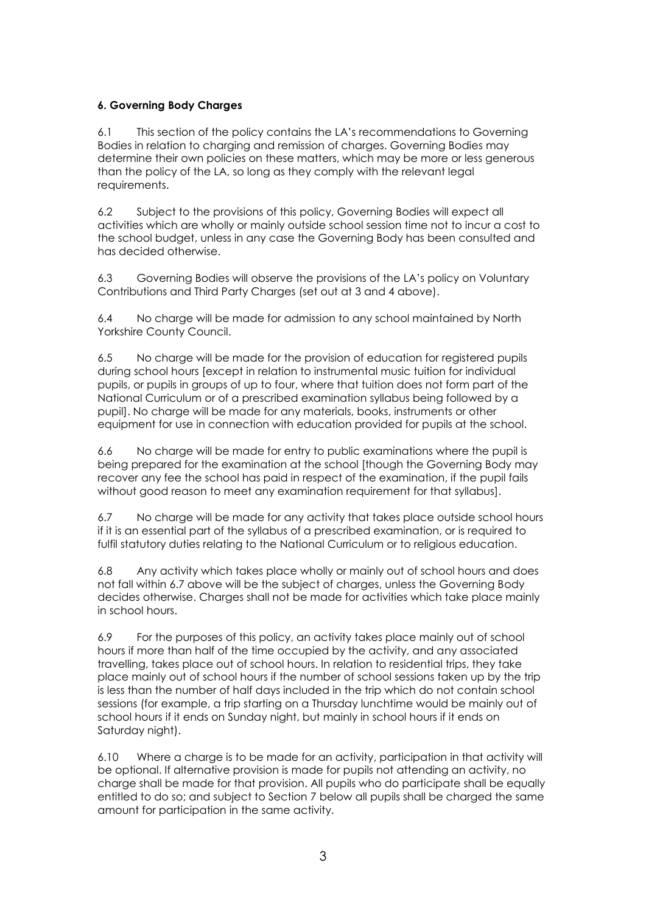## **6. Governing Body Charges**

6.1 This section of the policy contains the LA's recommendations to Governing Bodies in relation to charging and remission of charges. Governing Bodies may determine their own policies on these matters, which may be more or less generous than the policy of the LA, so long as they comply with the relevant legal requirements.

6.2 Subject to the provisions of this policy, Governing Bodies will expect all activities which are wholly or mainly outside school session time not to incur a cost to the school budget, unless in any case the Governing Body has been consulted and has decided otherwise.

6.3 Governing Bodies will observe the provisions of the LA's policy on Voluntary Contributions and Third Party Charges (set out at 3 and 4 above).

6.4 No charge will be made for admission to any school maintained by North Yorkshire County Council.

6.5 No charge will be made for the provision of education for registered pupils during school hours [except in relation to instrumental music tuition for individual pupils, or pupils in groups of up to four, where that tuition does not form part of the National Curriculum or of a prescribed examination syllabus being followed by a pupil]. No charge will be made for any materials, books, instruments or other equipment for use in connection with education provided for pupils at the school.

6.6 No charge will be made for entry to public examinations where the pupil is being prepared for the examination at the school [though the Governing Body may recover any fee the school has paid in respect of the examination, if the pupil fails without good reason to meet any examination requirement for that syllabus].

6.7 No charge will be made for any activity that takes place outside school hours if it is an essential part of the syllabus of a prescribed examination, or is required to fulfil statutory duties relating to the National Curriculum or to religious education.

6.8 Any activity which takes place wholly or mainly out of school hours and does not fall within 6.7 above will be the subject of charges, unless the Governing Body decides otherwise. Charges shall not be made for activities which take place mainly in school hours.

6.9 For the purposes of this policy, an activity takes place mainly out of school hours if more than half of the time occupied by the activity, and any associated travelling, takes place out of school hours. In relation to residential trips, they take place mainly out of school hours if the number of school sessions taken up by the trip is less than the number of half days included in the trip which do not contain school sessions (for example, a trip starting on a Thursday lunchtime would be mainly out of school hours if it ends on Sunday night, but mainly in school hours if it ends on Saturday night).

6.10 Where a charge is to be made for an activity, participation in that activity will be optional. If alternative provision is made for pupils not attending an activity, no charge shall be made for that provision. All pupils who do participate shall be equally entitled to do so; and subject to Section 7 below all pupils shall be charged the same amount for participation in the same activity.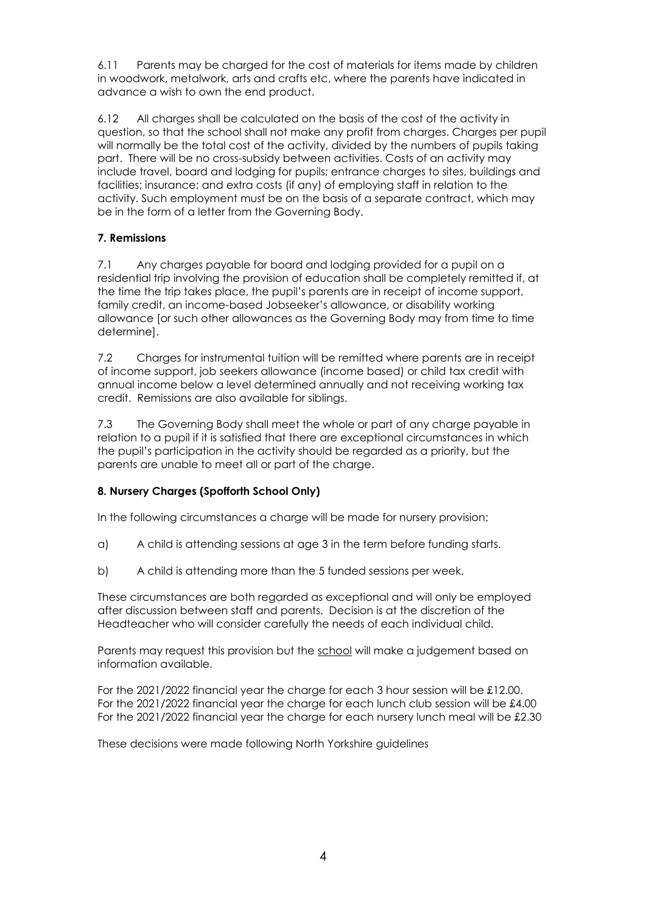6.11 Parents may be charged for the cost of materials for items made by children in woodwork, metalwork, arts and crafts etc, where the parents have indicated in advance a wish to own the end product.

6.12 All charges shall be calculated on the basis of the cost of the activity in question, so that the school shall not make any profit from charges. Charges per pupil will normally be the total cost of the activity, divided by the numbers of pupils taking part. There will be no cross-subsidy between activities. Costs of an activity may include travel, board and lodging for pupils; entrance charges to sites, buildings and facilities; insurance; and extra costs (if any) of employing staff in relation to the activity. Such employment must be on the basis of a separate contract, which may be in the form of a letter from the Governing Body.

## **7. Remissions**

7.1 Any charges payable for board and lodging provided for a pupil on a residential trip involving the provision of education shall be completely remitted if, at the time the trip takes place, the pupil's parents are in receipt of income support, family credit, an income-based Jobseeker's allowance, or disability working allowance [or such other allowances as the Governing Body may from time to time determine].

7.2 Charges for instrumental tuition will be remitted where parents are in receipt of income support, job seekers allowance (income based) or child tax credit with annual income below a level determined annually and not receiving working tax credit. Remissions are also available for siblings.

7.3 The Governing Body shall meet the whole or part of any charge payable in relation to a pupil if it is satisfied that there are exceptional circumstances in which the pupil's participation in the activity should be regarded as a priority, but the parents are unable to meet all or part of the charge.

#### **8. Nursery Charges (Spofforth School Only)**

In the following circumstances a charge will be made for nursery provision:

- a) A child is attending sessions at age 3 in the term before funding starts.
- b) A child is attending more than the 5 funded sessions per week.

These circumstances are both regarded as exceptional and will only be employed after discussion between staff and parents. Decision is at the discretion of the Headteacher who will consider carefully the needs of each individual child.

Parents may request this provision but the school will make a judgement based on information available.

For the 2021/2022 financial year the charge for each 3 hour session will be £12.00. For the 2021/2022 financial year the charge for each lunch club session will be £4.00 For the 2021/2022 financial year the charge for each nursery lunch meal will be £2.30

These decisions were made following North Yorkshire guidelines